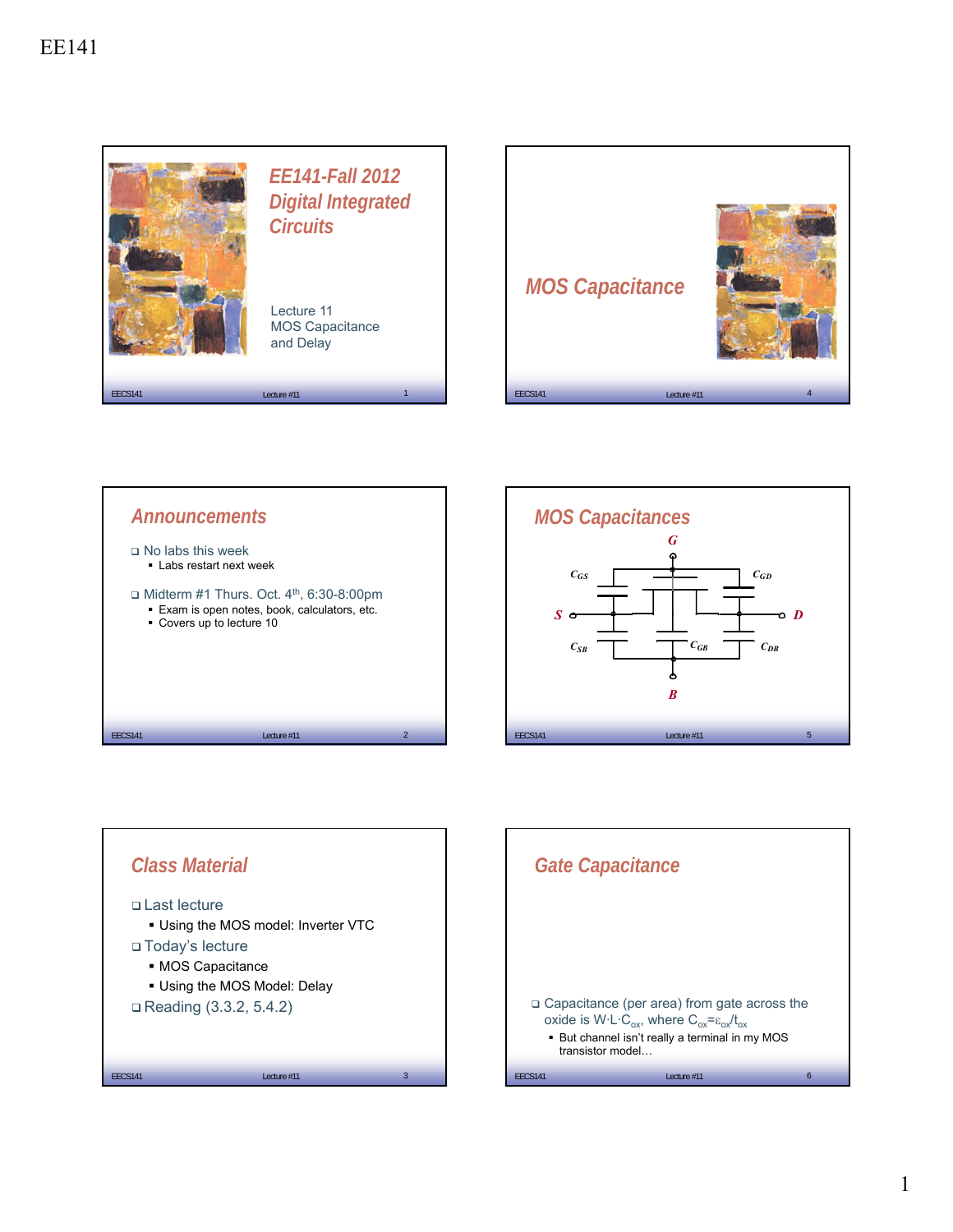









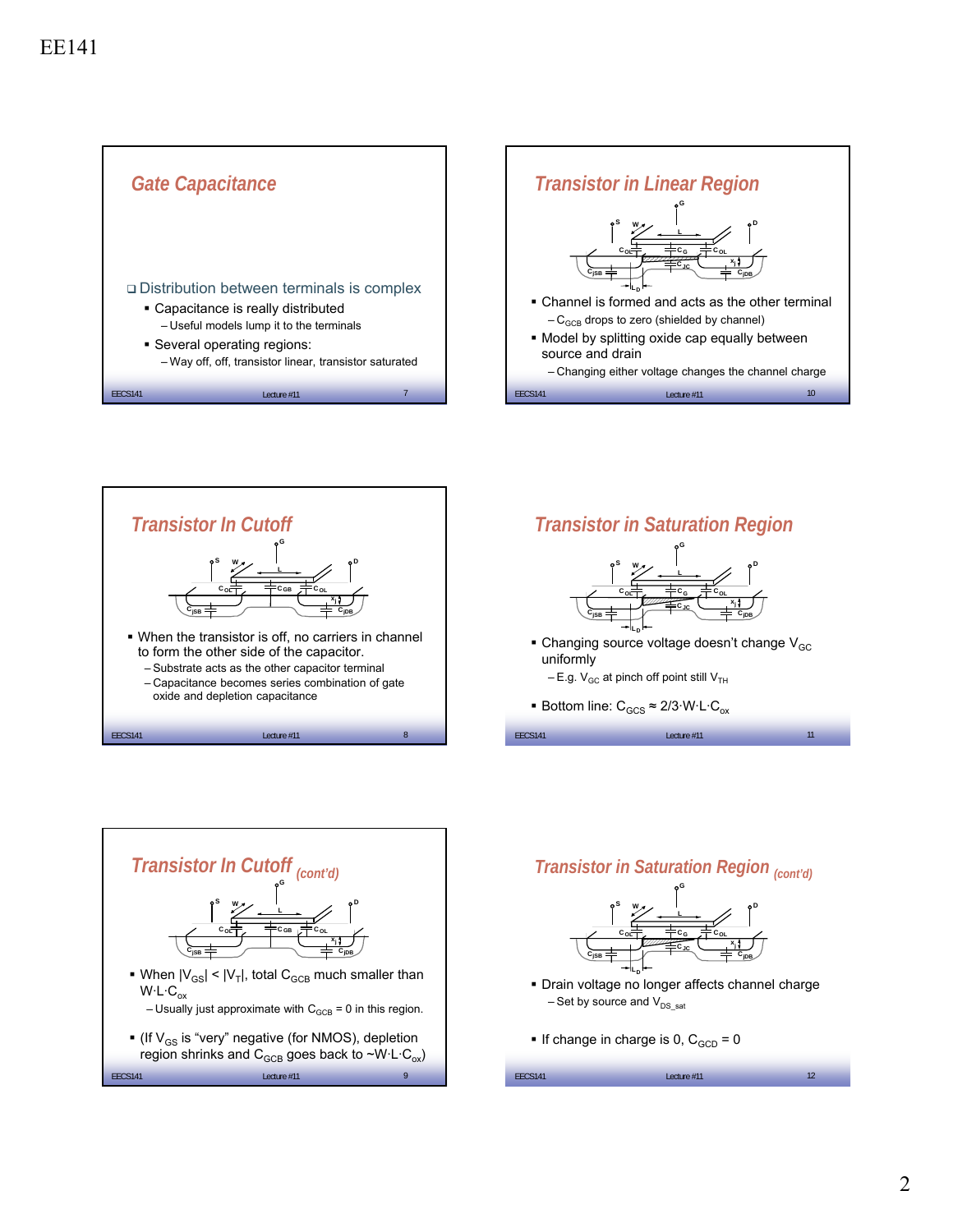









- Changing source voltage doesn't change  $V_{GC}$ uniformly

 $EECS141$  Lecture #11  $\qquad \qquad$  11  $\qquad \qquad$ 

- $-E.g. V<sub>GC</sub>$  at pinch off point still  $V<sub>TH</sub>$
- Bottom line:  $C_{GCS} \approx 2/3 \cdot W \cdot L \cdot C_{ox}$





If change in charge is 0,  $C_{GCD} = 0$ 

| 1 <sup>2</sup><br><b>EECS141</b><br>Lecture #11<br>12 |  |
|-------------------------------------------------------|--|
|-------------------------------------------------------|--|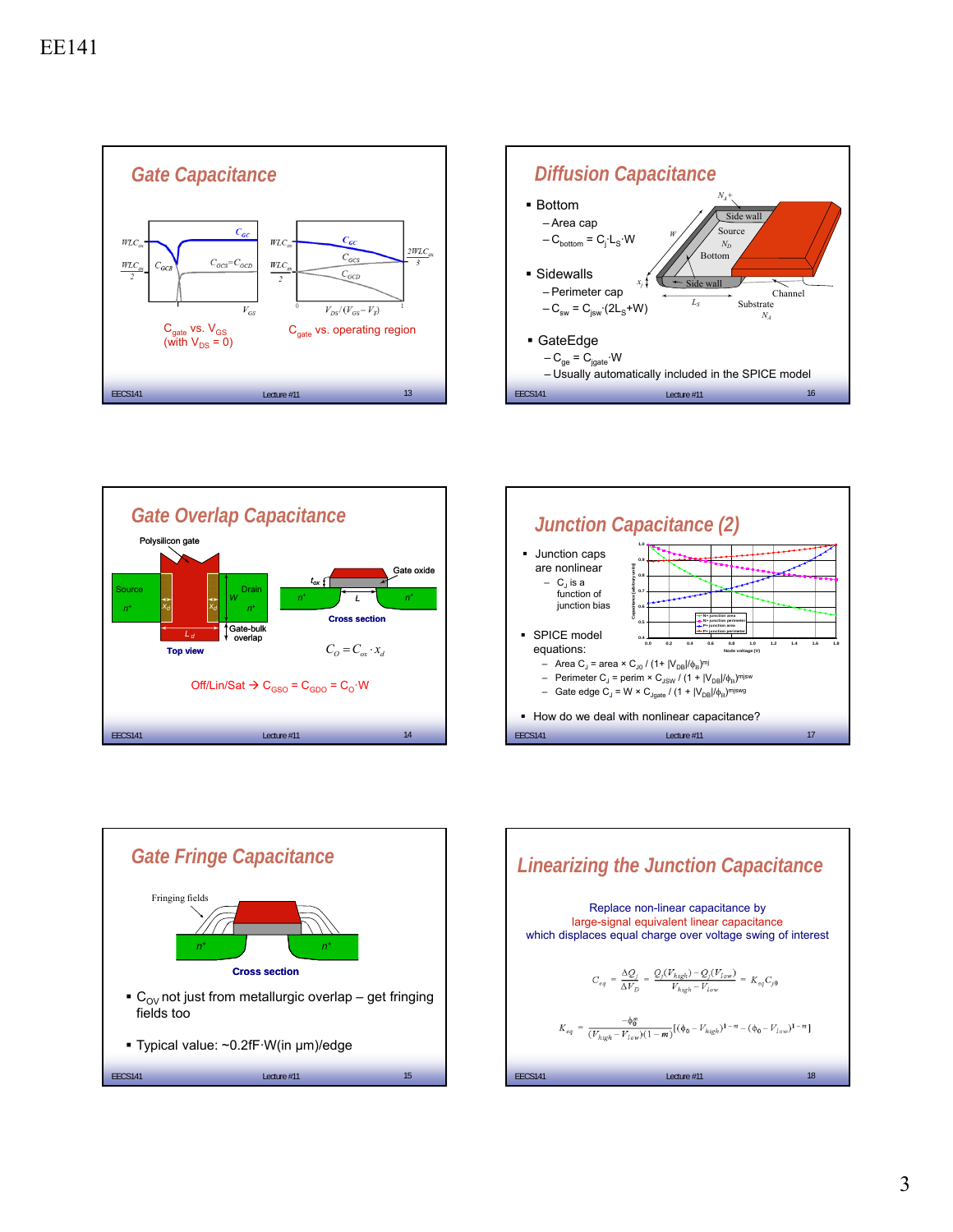









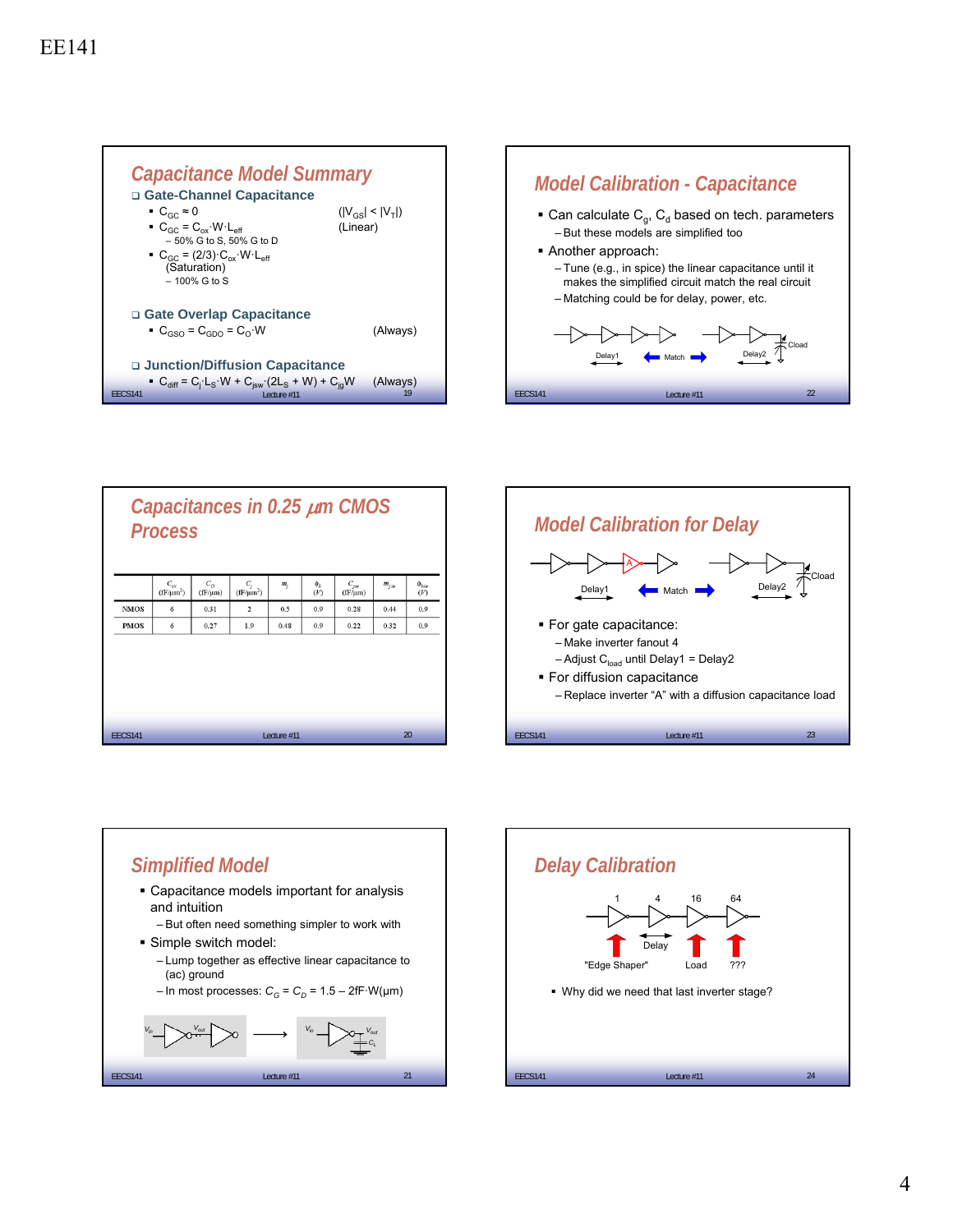



|                                     | Capacitances in 0.25 µm CMOS<br><b>Process</b> |                                  |                             |                         |                |                 |                           |           |                            |  |
|-------------------------------------|------------------------------------------------|----------------------------------|-----------------------------|-------------------------|----------------|-----------------|---------------------------|-----------|----------------------------|--|
|                                     |                                                | $C_{\alpha x}$<br>$(fF/\mu m^2)$ | $C_{\odot}$<br>$(fF/\mu m)$ | $C_i$<br>$(fF/\mu m^2)$ | m <sub>i</sub> | $\phi_b$<br>(V) | $C_{jsw}$<br>$(fF/\mu m)$ | $m_{jsw}$ | $\Phi_{\delta s w}$<br>(V) |  |
|                                     | <b>NMOS</b>                                    | 6                                | 0.31                        | $\overline{c}$          | 0.5            | 0.9             | 0.28                      | 0.44      | 0.9                        |  |
|                                     | <b>PMOS</b>                                    | 6                                | 0.27                        | 1.9                     | 0.48           | 0.9             | 0.22                      | 0.32      | 0.9                        |  |
|                                     |                                                |                                  |                             |                         |                |                 |                           |           |                            |  |
| 20<br><b>EECS141</b><br>Lecture #11 |                                                |                                  |                             |                         |                |                 |                           |           |                            |  |





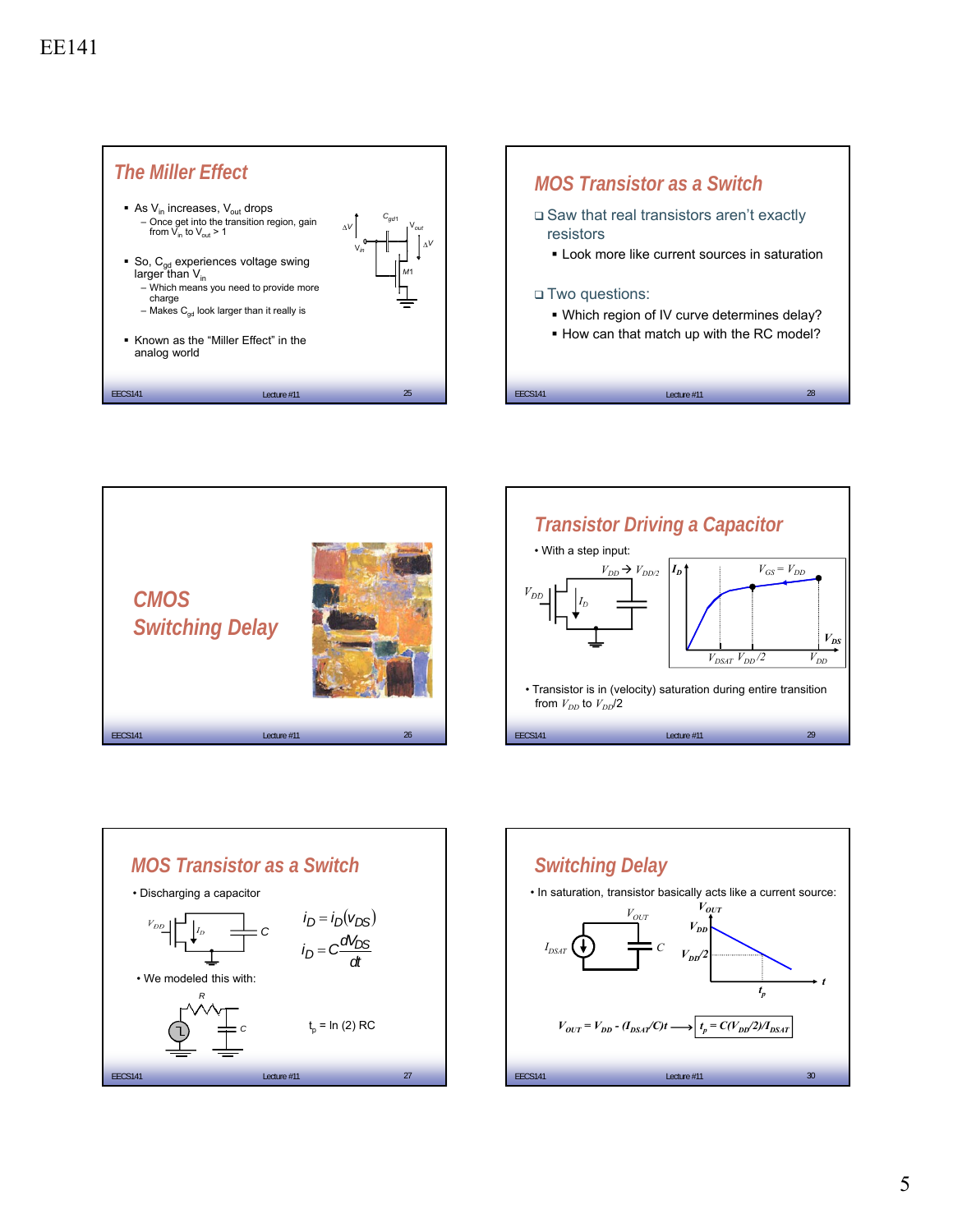